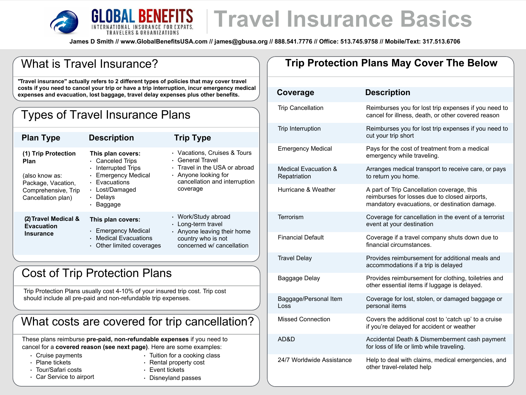

# **Travel Insurance Basics**

**James D Smith // www.GlobalBenefitsUSA.com // james@gbusa.org // 888.541.7776 // Office: 513.745.9758 // Mobile/Text: 317.513.6706**

| <b>What is Travel Insurance?</b>                                                                                                                                                                                                                                             |                                                                                                                                                     |                                                                                                                                                        |  |  |  |
|------------------------------------------------------------------------------------------------------------------------------------------------------------------------------------------------------------------------------------------------------------------------------|-----------------------------------------------------------------------------------------------------------------------------------------------------|--------------------------------------------------------------------------------------------------------------------------------------------------------|--|--|--|
| "Travel insurance" actually refers to 2 different types of policies that may cover travel<br>costs if you need to cancel your trip or have a trip interruption, incur emergency medical<br>expenses and evacuation, lost baggage, travel delay expenses plus other benefits. |                                                                                                                                                     |                                                                                                                                                        |  |  |  |
| <b>Types of Travel Insurance Plans</b>                                                                                                                                                                                                                                       |                                                                                                                                                     |                                                                                                                                                        |  |  |  |
| <b>Plan Type</b>                                                                                                                                                                                                                                                             | <b>Description</b>                                                                                                                                  | <b>Trip Type</b>                                                                                                                                       |  |  |  |
| (1) Trip Protection<br>Plan<br>(also know as:<br>Package, Vacation,<br>Comprehensive, Trip<br>Cancellation plan)                                                                                                                                                             | This plan covers:<br>Canceled Trips<br><b>Interrupted Trips</b><br><b>Emergency Medical</b><br>• Evacuations<br>Lost/Damaged<br>Delays<br>· Baggage | • Vacations, Cruises & Tours<br>• General Travel<br>• Travel in the USA or abroad<br>• Anyone looking for<br>cancellation and interruption<br>coverage |  |  |  |
| (2) Travel Medical &<br><b>Evacuation</b><br><b>Insurance</b>                                                                                                                                                                                                                | This plan covers:<br>• Emergency Medical<br><b>Medical Evacuations</b><br>Other limited coverages                                                   | • Work/Study abroad<br>Long-term travel<br>• Anyone leaving their home<br>country who is not<br>concerned w/ cancellation                              |  |  |  |
| <b>Cost of Trip Protection Plans</b>                                                                                                                                                                                                                                         |                                                                                                                                                     |                                                                                                                                                        |  |  |  |
| Trip Protection Plans usually cost 4-10% of your insured trip cost. Trip cost<br>should include all pre-paid and non-refundable trip expenses.                                                                                                                               |                                                                                                                                                     |                                                                                                                                                        |  |  |  |
| What costs are covered for trip cancellation?                                                                                                                                                                                                                                |                                                                                                                                                     |                                                                                                                                                        |  |  |  |
| These plans reimburse pre-paid, non-refundable expenses if you need to<br>cancel for a covered reason (see next page). Here are some examples:                                                                                                                               |                                                                                                                                                     |                                                                                                                                                        |  |  |  |

- Cruise payments
- Plane tickets
- Tour/Safari costs
- Car Service to airport
- Tuition for a cooking class • Rental property cost
- Event tickets
- Disneyland passes

#### **Trip Protection Plans May Cover The Below**

| Coverage                                        | <b>Description</b>                                                                                                                           |
|-------------------------------------------------|----------------------------------------------------------------------------------------------------------------------------------------------|
| <b>Trip Cancellation</b>                        | Reimburses you for lost trip expenses if you need to<br>cancel for illness, death, or other covered reason                                   |
| <b>Trip Interruption</b>                        | Reimburses you for lost trip expenses if you need to<br>cut your trip short                                                                  |
| <b>Emergency Medical</b>                        | Pays for the cost of treatment from a medical<br>emergency while traveling.                                                                  |
| <b>Medical Evacuation &amp;</b><br>Repatriation | Arranges medical transport to receive care, or pays<br>to return you home.                                                                   |
| Hurricane & Weather                             | A part of Trip Cancellation coverage, this<br>reimburses for losses due to closed airports,<br>mandatory evacuations, or destination damage. |
| Terrorism                                       | Coverage for cancellation in the event of a terrorist<br>event at your destination                                                           |
| <b>Financial Default</b>                        | Coverage if a travel company shuts down due to<br>financial circumstances.                                                                   |
| <b>Travel Delay</b>                             | Provides reimbursement for additional meals and<br>accommodations if a trip is delayed                                                       |
| Baggage Delay                                   | Provides reimbursement for clothing, toiletries and<br>other essential items if luggage is delayed.                                          |
| Baggage/Personal Item<br>Loss                   | Coverage for lost, stolen, or damaged baggage or<br>personal items                                                                           |
| <b>Missed Connection</b>                        | Covers the additional cost to 'catch up' to a cruise<br>if you're delayed for accident or weather                                            |
| AD&D                                            | Accidental Death & Dismemberment cash payment<br>for loss of life or limb while traveling.                                                   |
| 24/7 Worldwide Assistance                       | Help to deal with claims, medical emergencies, and<br>other travel-related help                                                              |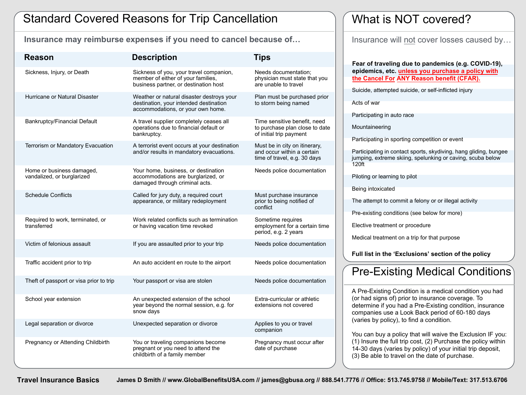#### Standard Covered Reasons for Trip Cancellation

**Insurance may reimburse expenses if you need to cancel because of…** Insurance will not cover losses caused by…

| <b>Reason</b>                                           | <b>Description</b>                                                                                                       | <b>Tips</b>                                                                                 |
|---------------------------------------------------------|--------------------------------------------------------------------------------------------------------------------------|---------------------------------------------------------------------------------------------|
| Sickness, Injury, or Death                              | Sickness of you, your travel companion,<br>member of either of your families,<br>business partner, or destination host   | Needs documentation;<br>physician must state that you<br>are unable to travel               |
| <b>Hurricane or Natural Disaster</b>                    | Weather or natural disaster destroys your<br>destination, your intended destination<br>accommodations, or your own home. | Plan must be purchased prior<br>to storm being named                                        |
| <b>Bankruptcy/Financial Default</b>                     | A travel supplier completely ceases all<br>operations due to financial default or<br>bankruptcy.                         | Time sensitive benefit, need<br>to purchase plan close to date<br>of initial trip payment   |
| <b>Terrorism or Mandatory Evacuation</b>                | A terrorist event occurs at your destination<br>and/or results in mandatory evacuations.                                 | Must be in city on itinerary,<br>and occur within a certain<br>time of travel, e.g. 30 days |
| Home or business damaged,<br>vandalized, or burglarized | Your home, business, or destination<br>accommodations are burglarized, or<br>damaged through criminal acts.              | Needs police documentation                                                                  |
| <b>Schedule Conflicts</b>                               | Called for jury duty, a required court<br>appearance, or military redeployment                                           | Must purchase insurance<br>prior to being notified of<br>conflict                           |
| Required to work, terminated, or<br>transferred         | Work related conflicts such as termination<br>or having vacation time revoked                                            | Sometime requires<br>employment for a certain time<br>period, e.g. 2 years                  |
| Victim of felonious assault                             | If you are assaulted prior to your trip                                                                                  | Needs police documentation                                                                  |
| Traffic accident prior to trip                          | An auto accident en route to the airport                                                                                 | Needs police documentation                                                                  |
| Theft of passport or visa prior to trip                 | Your passport or visa are stolen                                                                                         | Needs police documentation                                                                  |
| School year extension                                   | An unexpected extension of the school<br>year beyond the normal session, e.g. for<br>snow days                           | Extra-curricular or athletic<br>extensions not covered                                      |
| Legal separation or divorce                             | Unexpected separation or divorce                                                                                         | Applies to you or travel<br>companion                                                       |
| Pregnancy or Attending Childbirth                       | You or traveling companions become<br>pregnant or you need to attend the<br>childbirth of a family member                | Pregnancy must occur after<br>date of purchase                                              |

#### What is NOT covered?

**Fear of traveling due to pandemics (e.g. COVID-19), epidemics, etc. unless you purchase a policy with the Cancel For ANY Reason benefit (CFAR).** 

Suicide, attempted suicide, or self-inflicted injury

Acts of war

Participating in auto race

Mountaineering

Participating in sporting competition or event

Participating in contact sports, skydiving, hang gliding, bungee jumping, extreme skiing, spelunking or caving, scuba below 120ft

Piloting or learning to pilot

Being intoxicated

The attempt to commit a felony or or illegal activity

Pre-existing conditions (see below for more)

Elective treatment or procedure

Medical treatment on a trip for that purpose

**Full list in the 'Exclusions' section of the policy**

### Pre-Existing Medical Conditions

A Pre-Existing Condition is a medical condition you had (or had signs of) prior to insurance coverage. To determine if you had a Pre-Existing condition, insurance companies use a Look Back period of 60-180 days (varies by policy), to find a condition.

You can buy a policy that will waive the Exclusion IF you: (1) Insure the full trip cost, (2) Purchase the policy within 14-30 days (varies by policy) of your initial trip deposit, (3) Be able to travel on the date of purchase.